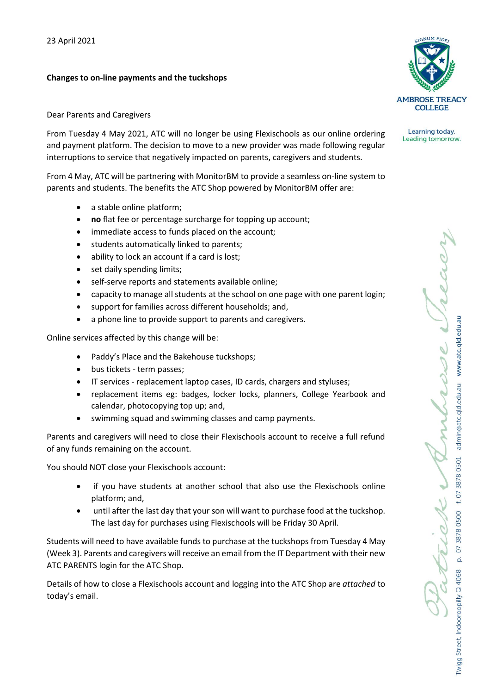## **Changes to on-line payments and the tuckshops**



From Tuesday 4 May 2021, ATC will no longer be using Flexischools as our online ordering and payment platform. The decision to move to a new provider was made following regular interruptions to service that negatively impacted on parents, caregivers and students.

From 4 May, ATC will be partnering with MonitorBM to provide a seamless on-line system to parents and students. The benefits the ATC Shop powered by MonitorBM offer are:

- a stable online platform;
- **no** flat fee or percentage surcharge for topping up account;
- immediate access to funds placed on the account;
- students automatically linked to parents;
- ability to lock an account if a card is lost;
- set daily spending limits;
- self-serve reports and statements available online;
- capacity to manage all students at the school on one page with one parent login;
- support for families across different households; and,
- a phone line to provide support to parents and caregivers.

Online services affected by this change will be:

- Paddy's Place and the Bakehouse tuckshops;
- bus tickets term passes;
- IT services replacement laptop cases, ID cards, chargers and styluses;
- replacement items eg: badges, locker locks, planners, College Yearbook and calendar, photocopying top up; and,
- swimming squad and swimming classes and camp payments.

Parents and caregivers will need to close their Flexischools account to receive a full refund of any funds remaining on the account.

You should NOT close your Flexischools account:

- if you have students at another school that also use the Flexischools online platform; and,
- until after the last day that your son will want to purchase food at the tuckshop. The last day for purchases using Flexischools will be Friday 30 April.

Students will need to have available funds to purchase at the tuckshops from Tuesday 4 May (Week 3). Parents and caregivers will receive an email from the IT Department with their new ATC PARENTS login for the ATC Shop.

Details of how to close a Flexischools account and logging into the ATC Shop are *attached* to today's email.



Learning today. Leading tomorrow.